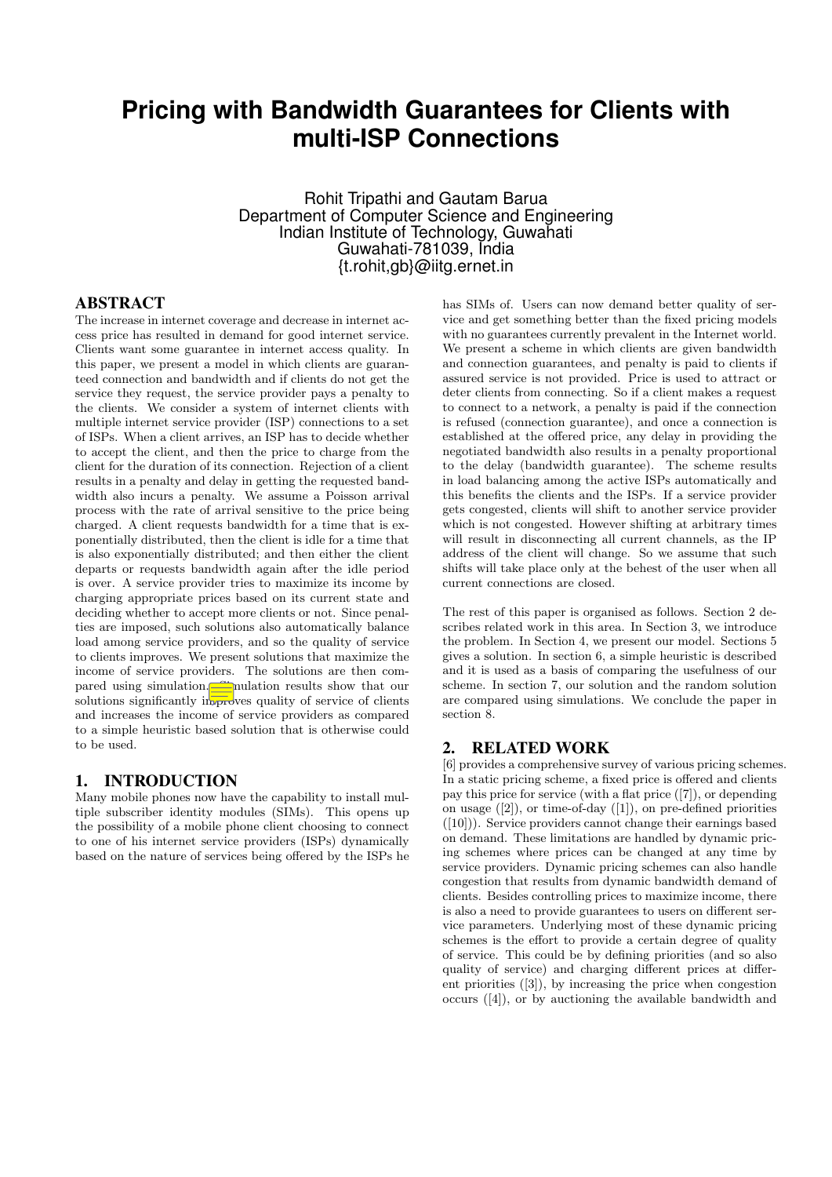# **Pricing with Bandwidth Guarantees for Clients with multi-ISP Connections**

Rohit Tripathi and Gautam Barua Department of Computer Science and Engineering Indian Institute of Technology, Guwahati Guwahati-781039, India {t.rohit,gb}@iitg.ernet.in

# ABSTRACT

The increase in internet coverage and decrease in internet access price has resulted in demand for good internet service. Clients want some guarantee in internet access quality. In this paper, we present a model in which clients are guaranteed connection and bandwidth and if clients do not get the service they request, the service provider pays a penalty to the clients. We consider a system of internet clients with multiple internet service provider (ISP) connections to a set of ISPs. When a client arrives, an ISP has to decide whether to accept the client, and then the price to charge from the client for the duration of its connection. Rejection of a client results in a penalty and delay in getting the requested bandwidth also incurs a penalty. We assume a Poisson arrival process with the rate of arrival sensitive to the price being charged. A client requests bandwidth for a time that is exponentially distributed, then the client is idle for a time that is also exponentially distributed; and then either the client departs or requests bandwidth again after the idle period is over. A service provider tries to maximize its income by charging appropriate prices based on its current state and deciding whether to accept more clients or not. Since penalties are imposed, such solutions also automatically balance load among service providers, and so the quality of service to clients improves. We present solutions that maximize the income of service providers. The solutions are then compared using simulation. Simulation results show that our solutions significantly improves quality of service of clients and increases the income of service providers as compared to a simple heuristic based solution that is otherwise could to be used.

## 1. INTRODUCTION

Many mobile phones now have the capability to install multiple subscriber identity modules (SIMs). This opens up the possibility of a mobile phone client choosing to connect to one of his internet service providers (ISPs) dynamically based on the nature of services being offered by the ISPs he

has SIMs of. Users can now demand better quality of service and get something better than the fixed pricing models with no guarantees currently prevalent in the Internet world. We present a scheme in which clients are given bandwidth and connection guarantees, and penalty is paid to clients if assured service is not provided. Price is used to attract or deter clients from connecting. So if a client makes a request to connect to a network, a penalty is paid if the connection is refused (connection guarantee), and once a connection is established at the offered price, any delay in providing the negotiated bandwidth also results in a penalty proportional to the delay (bandwidth guarantee). The scheme results in load balancing among the active ISPs automatically and this benefits the clients and the ISPs. If a service provider gets congested, clients will shift to another service provider which is not congested. However shifting at arbitrary times will result in disconnecting all current channels, as the IP address of the client will change. So we assume that such shifts will take place only at the behest of the user when all current connections are closed.

The rest of this paper is organised as follows. Section 2 describes related work in this area. In Section 3, we introduce the problem. In Section 4, we present our model. Sections 5 gives a solution. In section 6, a simple heuristic is described and it is used as a basis of comparing the usefulness of our scheme. In section 7, our solution and the random solution are compared using simulations. We conclude the paper in section 8.

# 2. RELATED WORK

[6] provides a comprehensive survey of various pricing schemes. In a static pricing scheme, a fixed price is offered and clients pay this price for service (with a flat price ([7]), or depending on usage  $([2])$ , or time-of-day  $([1])$ , on pre-defined priorities ([10])). Service providers cannot change their earnings based on demand. These limitations are handled by dynamic pricing schemes where prices can be changed at any time by service providers. Dynamic pricing schemes can also handle congestion that results from dynamic bandwidth demand of clients. Besides controlling prices to maximize income, there is also a need to provide guarantees to users on different service parameters. Underlying most of these dynamic pricing schemes is the effort to provide a certain degree of quality of service. This could be by defining priorities (and so also quality of service) and charging different prices at different priorities ([3]), by increasing the price when congestion occurs ([4]), or by auctioning the available bandwidth and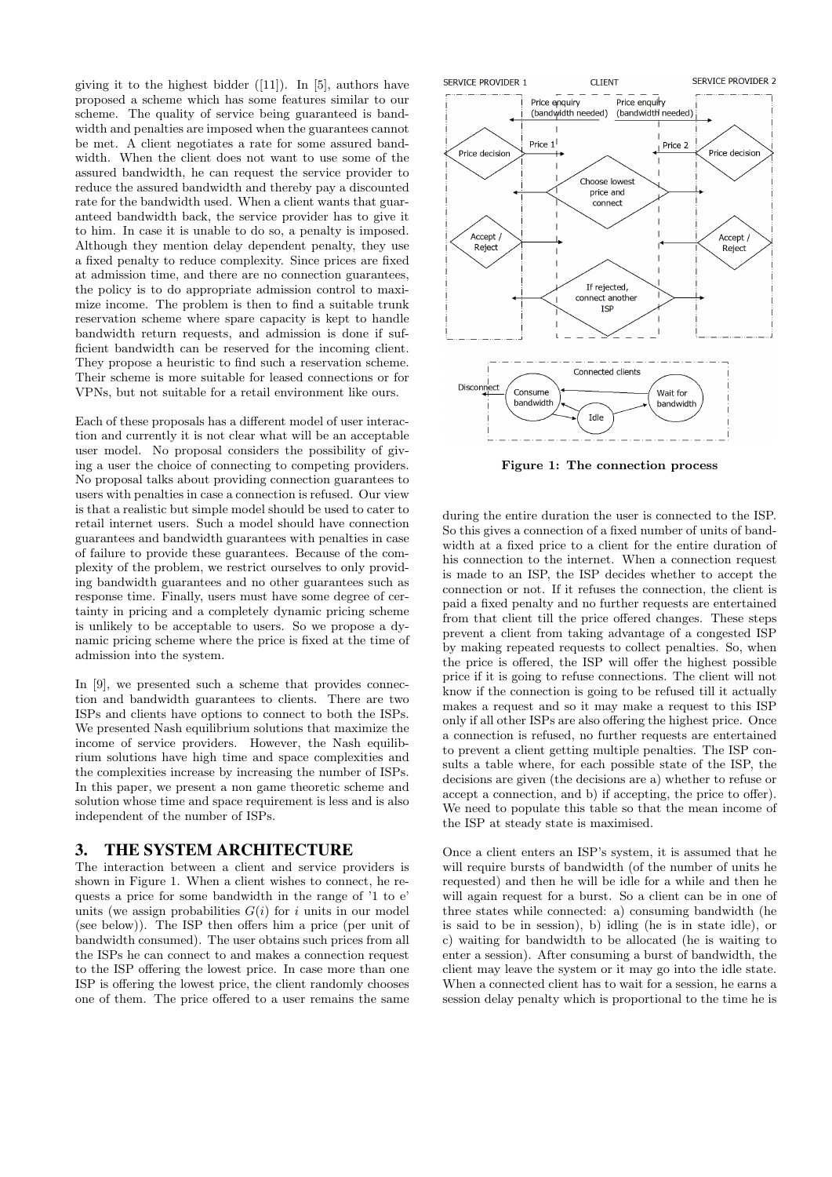giving it to the highest bidder ([11]). In [5], authors have proposed a scheme which has some features similar to our scheme. The quality of service being guaranteed is bandwidth and penalties are imposed when the guarantees cannot be met. A client negotiates a rate for some assured bandwidth. When the client does not want to use some of the assured bandwidth, he can request the service provider to reduce the assured bandwidth and thereby pay a discounted rate for the bandwidth used. When a client wants that guaranteed bandwidth back, the service provider has to give it to him. In case it is unable to do so, a penalty is imposed. Although they mention delay dependent penalty, they use a fixed penalty to reduce complexity. Since prices are fixed at admission time, and there are no connection guarantees, the policy is to do appropriate admission control to maximize income. The problem is then to find a suitable trunk reservation scheme where spare capacity is kept to handle bandwidth return requests, and admission is done if sufficient bandwidth can be reserved for the incoming client. They propose a heuristic to find such a reservation scheme. Their scheme is more suitable for leased connections or for VPNs, but not suitable for a retail environment like ours.

Each of these proposals has a different model of user interaction and currently it is not clear what will be an acceptable user model. No proposal considers the possibility of giving a user the choice of connecting to competing providers. No proposal talks about providing connection guarantees to users with penalties in case a connection is refused. Our view is that a realistic but simple model should be used to cater to retail internet users. Such a model should have connection guarantees and bandwidth guarantees with penalties in case of failure to provide these guarantees. Because of the complexity of the problem, we restrict ourselves to only providing bandwidth guarantees and no other guarantees such as response time. Finally, users must have some degree of certainty in pricing and a completely dynamic pricing scheme is unlikely to be acceptable to users. So we propose a dynamic pricing scheme where the price is fixed at the time of admission into the system.

In [9], we presented such a scheme that provides connection and bandwidth guarantees to clients. There are two ISPs and clients have options to connect to both the ISPs. We presented Nash equilibrium solutions that maximize the income of service providers. However, the Nash equilibrium solutions have high time and space complexities and the complexities increase by increasing the number of ISPs. In this paper, we present a non game theoretic scheme and solution whose time and space requirement is less and is also independent of the number of ISPs.

## 3. THE SYSTEM ARCHITECTURE

The interaction between a client and service providers is shown in Figure 1. When a client wishes to connect, he requests a price for some bandwidth in the range of '1 to e' units (we assign probabilities  $G(i)$  for i units in our model (see below)). The ISP then offers him a price (per unit of bandwidth consumed). The user obtains such prices from all the ISPs he can connect to and makes a connection request to the ISP offering the lowest price. In case more than one ISP is offering the lowest price, the client randomly chooses one of them. The price offered to a user remains the same



Figure 1: The connection process

during the entire duration the user is connected to the ISP. So this gives a connection of a fixed number of units of bandwidth at a fixed price to a client for the entire duration of his connection to the internet. When a connection request is made to an ISP, the ISP decides whether to accept the connection or not. If it refuses the connection, the client is paid a fixed penalty and no further requests are entertained from that client till the price offered changes. These steps prevent a client from taking advantage of a congested ISP by making repeated requests to collect penalties. So, when the price is offered, the ISP will offer the highest possible price if it is going to refuse connections. The client will not know if the connection is going to be refused till it actually makes a request and so it may make a request to this ISP only if all other ISPs are also offering the highest price. Once a connection is refused, no further requests are entertained to prevent a client getting multiple penalties. The ISP consults a table where, for each possible state of the ISP, the decisions are given (the decisions are a) whether to refuse or accept a connection, and b) if accepting, the price to offer). We need to populate this table so that the mean income of the ISP at steady state is maximised.

Once a client enters an ISP's system, it is assumed that he will require bursts of bandwidth (of the number of units he requested) and then he will be idle for a while and then he will again request for a burst. So a client can be in one of three states while connected: a) consuming bandwidth (he is said to be in session), b) idling (he is in state idle), or c) waiting for bandwidth to be allocated (he is waiting to enter a session). After consuming a burst of bandwidth, the client may leave the system or it may go into the idle state. When a connected client has to wait for a session, he earns a session delay penalty which is proportional to the time he is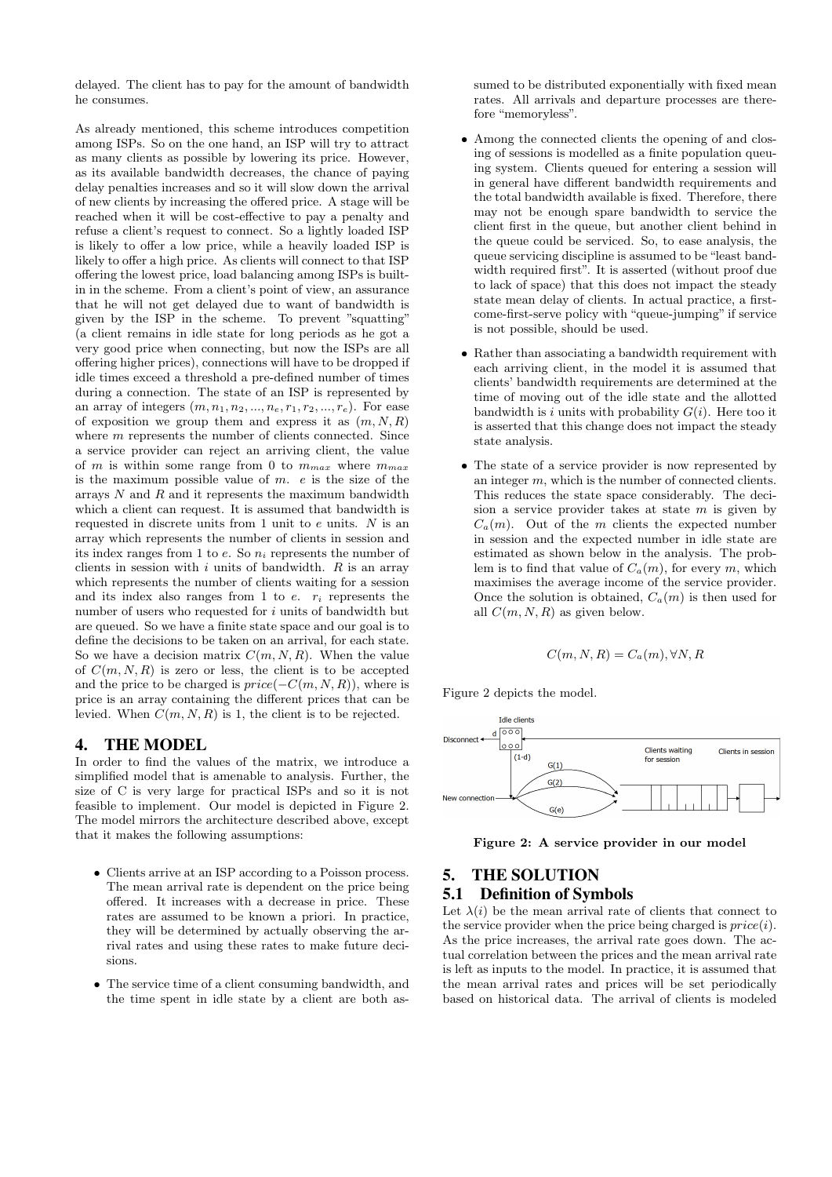delayed. The client has to pay for the amount of bandwidth he consumes.

As already mentioned, this scheme introduces competition among ISPs. So on the one hand, an ISP will try to attract as many clients as possible by lowering its price. However, as its available bandwidth decreases, the chance of paying delay penalties increases and so it will slow down the arrival of new clients by increasing the offered price. A stage will be reached when it will be cost-effective to pay a penalty and refuse a client's request to connect. So a lightly loaded ISP is likely to offer a low price, while a heavily loaded ISP is likely to offer a high price. As clients will connect to that ISP offering the lowest price, load balancing among ISPs is builtin in the scheme. From a client's point of view, an assurance that he will not get delayed due to want of bandwidth is given by the ISP in the scheme. To prevent "squatting" (a client remains in idle state for long periods as he got a very good price when connecting, but now the ISPs are all offering higher prices), connections will have to be dropped if idle times exceed a threshold a pre-defined number of times during a connection. The state of an ISP is represented by an array of integers  $(m, n_1, n_2, ..., n_e, r_1, r_2, ..., r_e)$ . For ease of exposition we group them and express it as  $(m, N, R)$ where m represents the number of clients connected. Since a service provider can reject an arriving client, the value of m is within some range from 0 to  $m_{max}$  where  $m_{max}$ is the maximum possible value of  $m$ .  $e$  is the size of the arrays  $N$  and  $R$  and it represents the maximum bandwidth which a client can request. It is assumed that bandwidth is requested in discrete units from 1 unit to  $e$  units.  $N$  is an array which represents the number of clients in session and its index ranges from 1 to  $e$ . So  $n_i$  represents the number of clients in session with  $i$  units of bandwidth.  $R$  is an array which represents the number of clients waiting for a session and its index also ranges from 1 to  $e$ .  $r_i$  represents the number of users who requested for  $i$  units of bandwidth but are queued. So we have a finite state space and our goal is to define the decisions to be taken on an arrival, for each state. So we have a decision matrix  $C(m, N, R)$ . When the value of  $C(m, N, R)$  is zero or less, the client is to be accepted and the price to be charged is  $price(-C(m, N, R))$ , where is price is an array containing the different prices that can be levied. When  $C(m, N, R)$  is 1, the client is to be rejected.

## 4. THE MODEL

In order to find the values of the matrix, we introduce a simplified model that is amenable to analysis. Further, the size of C is very large for practical ISPs and so it is not feasible to implement. Our model is depicted in Figure 2. The model mirrors the architecture described above, except that it makes the following assumptions:

- Clients arrive at an ISP according to a Poisson process. The mean arrival rate is dependent on the price being offered. It increases with a decrease in price. These rates are assumed to be known a priori. In practice, they will be determined by actually observing the arrival rates and using these rates to make future decisions.
- The service time of a client consuming bandwidth, and the time spent in idle state by a client are both as-

sumed to be distributed exponentially with fixed mean rates. All arrivals and departure processes are therefore "memoryless".

- Among the connected clients the opening of and closing of sessions is modelled as a finite population queuing system. Clients queued for entering a session will in general have different bandwidth requirements and the total bandwidth available is fixed. Therefore, there may not be enough spare bandwidth to service the client first in the queue, but another client behind in the queue could be serviced. So, to ease analysis, the queue servicing discipline is assumed to be "least bandwidth required first". It is asserted (without proof due to lack of space) that this does not impact the steady state mean delay of clients. In actual practice, a firstcome-first-serve policy with "queue-jumping" if service is not possible, should be used.
- Rather than associating a bandwidth requirement with each arriving client, in the model it is assumed that clients' bandwidth requirements are determined at the time of moving out of the idle state and the allotted bandwidth is i units with probability  $G(i)$ . Here too it is asserted that this change does not impact the steady state analysis.
- The state of a service provider is now represented by an integer m, which is the number of connected clients. This reduces the state space considerably. The decision a service provider takes at state  $m$  is given by  $C_a(m)$ . Out of the m clients the expected number in session and the expected number in idle state are estimated as shown below in the analysis. The problem is to find that value of  $C_a(m)$ , for every m, which maximises the average income of the service provider. Once the solution is obtained,  $C_a(m)$  is then used for all  $C(m, N, R)$  as given below.

$$
C(m, N, R) = C_a(m), \forall N, R
$$

Figure 2 depicts the model.



Figure 2: A service provider in our model

## 5. THE SOLUTION 5.1 Definition of Symbols

Let  $\lambda(i)$  be the mean arrival rate of clients that connect to the service provider when the price being charged is  $price(i)$ . As the price increases, the arrival rate goes down. The actual correlation between the prices and the mean arrival rate is left as inputs to the model. In practice, it is assumed that the mean arrival rates and prices will be set periodically based on historical data. The arrival of clients is modeled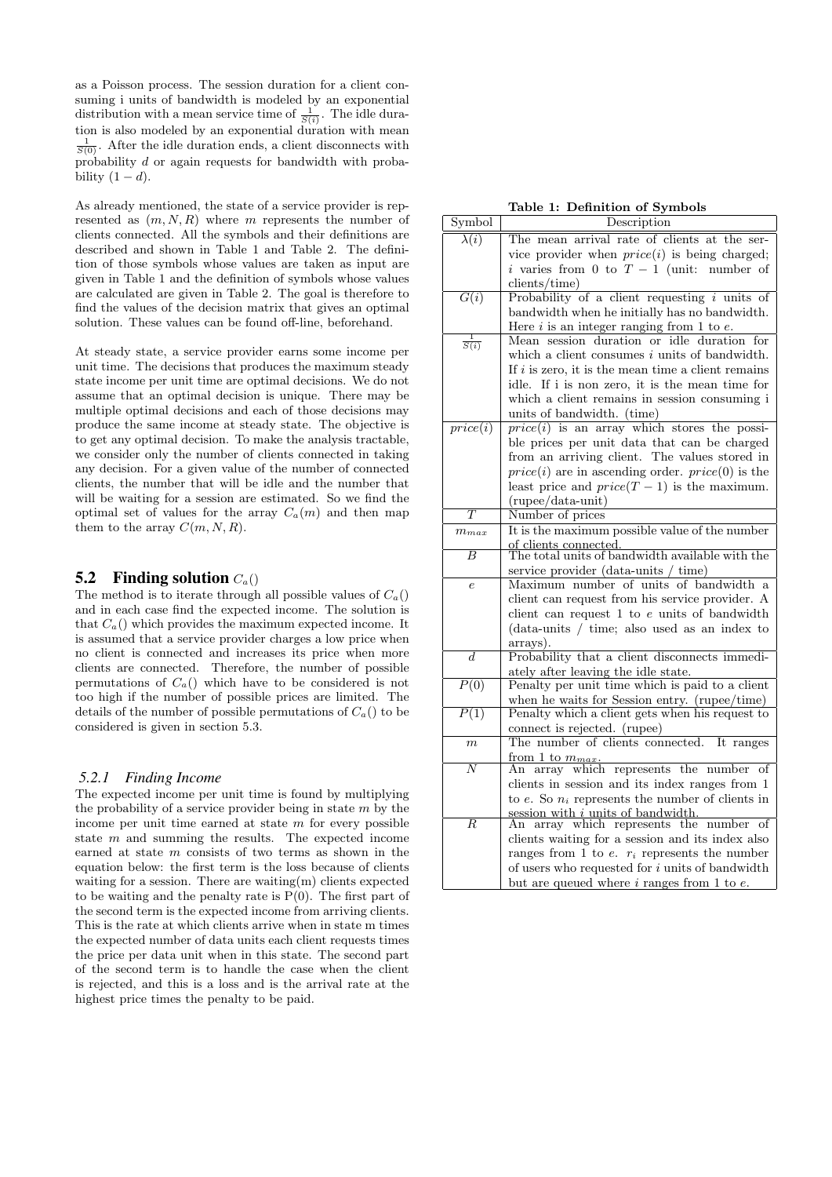as a Poisson process. The session duration for a client consuming i units of bandwidth is modeled by an exponential distribution with a mean service time of  $\frac{1}{S(i)}$ . The idle duration is also modeled by an exponential duration with mean  $\frac{1}{S(0)}$ . After the idle duration ends, a client disconnects with probability d or again requests for bandwidth with probability  $(1 - d)$ .

As already mentioned, the state of a service provider is represented as  $(m, N, R)$  where m represents the number of clients connected. All the symbols and their definitions are described and shown in Table 1 and Table 2. The definition of those symbols whose values are taken as input are given in Table 1 and the definition of symbols whose values are calculated are given in Table 2. The goal is therefore to find the values of the decision matrix that gives an optimal solution. These values can be found off-line, beforehand.

At steady state, a service provider earns some income per unit time. The decisions that produces the maximum steady state income per unit time are optimal decisions. We do not assume that an optimal decision is unique. There may be multiple optimal decisions and each of those decisions may produce the same income at steady state. The objective is to get any optimal decision. To make the analysis tractable, we consider only the number of clients connected in taking any decision. For a given value of the number of connected clients, the number that will be idle and the number that will be waiting for a session are estimated. So we find the optimal set of values for the array  $C_a(m)$  and then map them to the array  $C(m, N, R)$ .

## 5.2 Finding solution  $C_a()$

The method is to iterate through all possible values of  $C_a()$ and in each case find the expected income. The solution is that  $C_a()$  which provides the maximum expected income. It is assumed that a service provider charges a low price when no client is connected and increases its price when more clients are connected. Therefore, the number of possible permutations of  $C_a()$  which have to be considered is not too high if the number of possible prices are limited. The details of the number of possible permutations of  $C_a()$  to be considered is given in section 5.3.

#### *5.2.1 Finding Income*

The expected income per unit time is found by multiplying the probability of a service provider being in state  $m$  by the income per unit time earned at state  $m$  for every possible state  $m$  and summing the results. The expected income earned at state  $m$  consists of two terms as shown in the equation below: the first term is the loss because of clients waiting for a session. There are waiting(m) clients expected to be waiting and the penalty rate is  $P(0)$ . The first part of the second term is the expected income from arriving clients. This is the rate at which clients arrive when in state m times the expected number of data units each client requests times the price per data unit when in this state. The second part of the second term is to handle the case when the client is rejected, and this is a loss and is the arrival rate at the highest price times the penalty to be paid.

|  |  | Table 1: Definition of Symbols |
|--|--|--------------------------------|
|--|--|--------------------------------|

| Symbol                  | Description                                                                     |
|-------------------------|---------------------------------------------------------------------------------|
| $\overline{\lambda(i)}$ | The mean arrival rate of clients at the ser-                                    |
|                         | vice provider when $price(i)$ is being charged;                                 |
|                         | i varies from 0 to $T-1$ (unit: number of                                       |
|                         | $\text{clients}/\text{time}$                                                    |
| G(i)                    | Probability of a client requesting $i$ units of                                 |
|                         | bandwidth when he initially has no bandwidth.                                   |
|                         | Here $i$ is an integer ranging from 1 to $e$ .                                  |
| $\frac{1}{S(i)}$        | Mean session duration or idle duration for                                      |
|                         | which a client consumes $i$ units of bandwidth.                                 |
|                         | If $i$ is zero, it is the mean time a client remains                            |
|                         | idle. If i is non zero, it is the mean time for                                 |
|                         | which a client remains in session consuming i                                   |
|                         | units of bandwidth. (time)                                                      |
| price(i)                | $price(i)$ is an array which stores the possi-                                  |
|                         | ble prices per unit data that can be charged                                    |
|                         | from an arriving client. The values stored in                                   |
|                         | $price(i)$ are in ascending order. $price(0)$ is the                            |
|                         | least price and $price(T - 1)$ is the maximum.                                  |
|                         | (rupee/data-unit)                                                               |
| T                       | Number of prices                                                                |
| $m_{max}$               | It is the maximum possible value of the number                                  |
| $\boldsymbol{B}$        | of clients connected.<br>The total units of bandwidth available with the        |
|                         | service provider (data-units / time)                                            |
| $\epsilon$              | Maximum number of units of bandwidth a                                          |
|                         | client can request from his service provider. A                                 |
|                         | client can request $1$ to $e$ units of bandwidth                                |
|                         | (data-units / time; also used as an index to                                    |
|                         | arrays).                                                                        |
| d                       | Probability that a client disconnects immedi-                                   |
|                         | ately after leaving the idle state.                                             |
| P(0)                    | Penalty per unit time which is paid to a client                                 |
|                         | when he waits for Session entry. (rupee/time)                                   |
| P(1)                    | Penalty which a client gets when his request to                                 |
|                         | connect is rejected. (rupee)                                                    |
| $\boldsymbol{m}$        | The number of clients connected. It ranges                                      |
|                         | from 1 to $m_{max}$ .                                                           |
| $\overline{N}$          | An array which represents the number of                                         |
|                         | clients in session and its index ranges from 1                                  |
|                         | to $e$ . So $n_i$ represents the number of clients in                           |
| $\overline{R}$          | session with $i$ units of bandwidth.<br>An array which represents the number of |
|                         | clients waiting for a session and its index also                                |
|                         | ranges from 1 to $e$ . $r_i$ represents the number                              |
|                         | of users who requested for $i$ units of bandwidth                               |
|                         | but are queued where $i$ ranges from 1 to $e$ .                                 |
|                         |                                                                                 |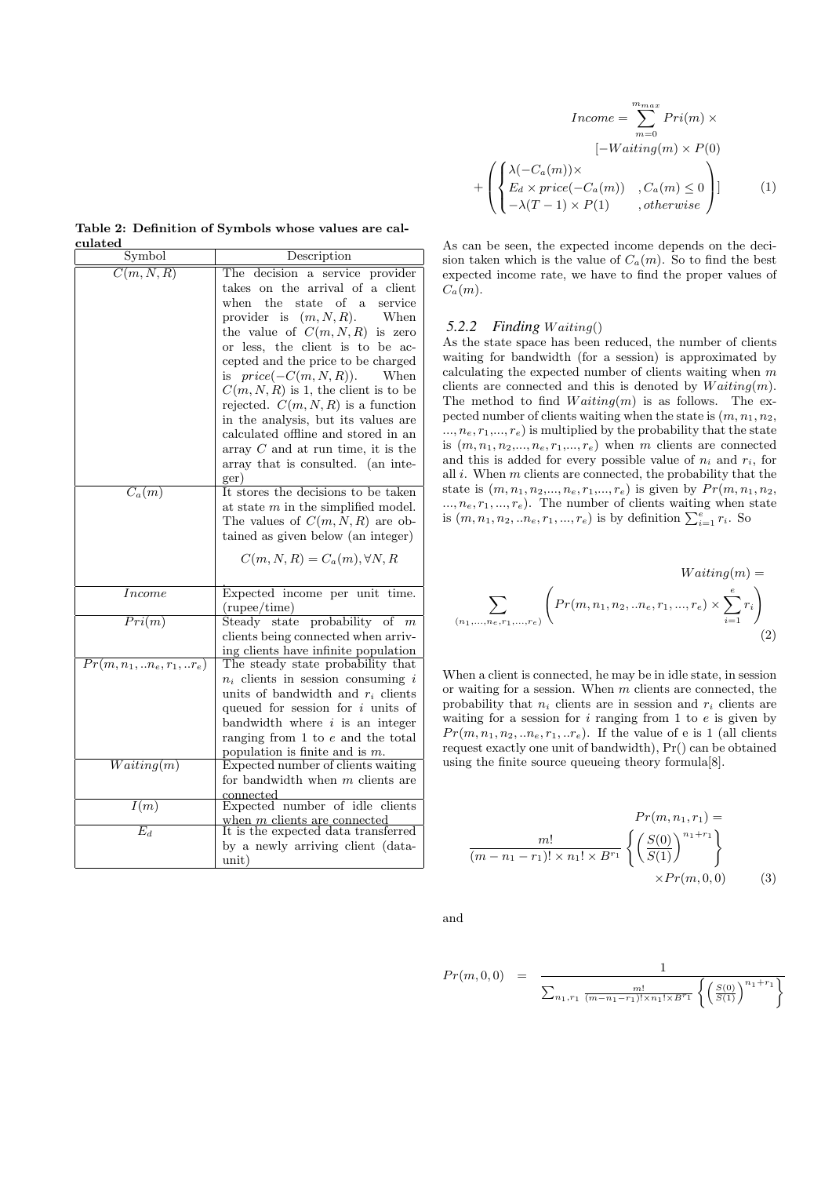|         | Table 2: Definition of Symbols whose values are cal- |  |  |  |
|---------|------------------------------------------------------|--|--|--|
| culated |                                                      |  |  |  |

| cuiateu<br>Symbol             | Description                                                                                                                                                                                                                                                                                                          |  |  |
|-------------------------------|----------------------------------------------------------------------------------------------------------------------------------------------------------------------------------------------------------------------------------------------------------------------------------------------------------------------|--|--|
| C(m, N, R)                    | The decision a service provider<br>takes on the arrival of<br>a client<br>the<br>state of a<br>when<br>service<br>provider is $(m, N, R)$ .<br>When<br>the value of $C(m, N, R)$ is zero<br>or less, the client is to be ac-                                                                                         |  |  |
|                               | cepted and the price to be charged<br>is $price(-C(m, N, R)).$<br>When<br>$C(m, N, R)$ is 1, the client is to be<br>rejected. $C(m, N, R)$ is a function<br>in the analysis, but its values are<br>calculated offline and stored in an<br>array $C$ and at run time, it is the<br>array that is consulted. (an inte- |  |  |
| $C_a(m)$                      | ger)<br>It stores the decisions to be taken<br>at state $m$ in the simplified model.<br>The values of $C(m, N, R)$ are ob-<br>tained as given below (an integer)<br>$C(m, N, R) = C_a(m), \forall N, R$                                                                                                              |  |  |
|                               |                                                                                                                                                                                                                                                                                                                      |  |  |
| Income                        | Expected income per unit time.<br>(rupee/time)                                                                                                                                                                                                                                                                       |  |  |
| Pri(m)                        | Steady state probability of $m$<br>clients being connected when arriv-<br>ing clients have infinite population                                                                                                                                                                                                       |  |  |
| $Pr(m, n_1,  n_e, r_1,  r_e)$ | The steady state probability that<br>$n_i$ clients in session consuming i<br>units of bandwidth and $r_i$ clients<br>queued for session for $i$ units of<br>bandwidth where $i$ is an integer<br>ranging from $1$ to $e$ and the total<br>population is finite and is $m$ .                                          |  |  |
| $\overline{Waiting(m)}$       | Expected number of clients waiting<br>for bandwidth when $m$ clients are                                                                                                                                                                                                                                             |  |  |
| I(m)                          | $\rm connected$<br>Expected number of idle clients                                                                                                                                                                                                                                                                   |  |  |
| $E_d$                         | when $m$ clients are connected<br>It is the expected data transferred<br>by a newly arriving client (data-<br>unit)                                                                                                                                                                                                  |  |  |

$$
Income = \sum_{m=0}^{m_{max}} Pri(m) \times
$$

$$
[-Waiting(m) \times P(0)
$$

$$
+ \left( \begin{cases} \lambda(-C_a(m)) \times \\ E_d \times price(-C_a(m)) & , C_a(m) \le 0 \\ -\lambda(T-1) \times P(1) & , otherwise \end{cases} \right) ] \qquad (1)
$$

As can be seen, the expected income depends on the decision taken which is the value of  $C_a(m)$ . So to find the best expected income rate, we have to find the proper values of  $C_a(m)$ .

#### 5.2.2 Finding Waiting()

As the state space has been reduced, the number of clients waiting for bandwidth (for a session) is approximated by calculating the expected number of clients waiting when  $m$ clients are connected and this is denoted by  $Waiting(m)$ . The method to find  $Waiting(m)$  is as follows. The expected number of clients waiting when the state is  $(m, n_1, n_2,$  $..., n_e, r_1,..., r_e)$  is multiplied by the probability that the state is  $(m, n_1, n_2, \ldots, n_e, r_1, \ldots, r_e)$  when m clients are connected and this is added for every possible value of  $n_i$  and  $r_i$ , for all  $i$ . When  $m$  clients are connected, the probability that the state is  $(m, n_1, n_2, ..., n_e, r_1, ..., r_e)$  is given by  $Pr(m, n_1, n_2, ..., n_e)$  $..., n_e, r_1, ..., r_e$ ). The number of clients waiting when state is  $(m, n_1, n_2, \ldots n_e, r_1, \ldots, r_e)$  is by definition  $\sum_{i=1}^{e} r_i$ . So

$$
Waiting(m) = \sum_{(n_1, ..., n_e, r_1, ..., r_e)} \left( Pr(m, n_1, n_2, ... n_e, r_1, ..., r_e) \times \sum_{i=1}^{e} r_i \right)
$$
\n(2)

When a client is connected, he may be in idle state, in session or waiting for a session. When  $m$  clients are connected, the probability that  $n_i$  clients are in session and  $r_i$  clients are waiting for a session for  $i$  ranging from 1 to  $e$  is given by  $Pr(m, n_1, n_2, \ldots, n_e, r_1, \ldots, r_e)$ . If the value of e is 1 (all clients request exactly one unit of bandwidth), Pr() can be obtained using the finite source queueing theory formula[8].

$$
Pr(m, n_1, r_1) =
$$
  
\n
$$
\frac{m!}{(m - n_1 - r_1)! \times n_1! \times B^{r_1}} \left\{ \left(\frac{S(0)}{S(1)}\right)^{n_1 + r_1} \right\}
$$
  
\n
$$
\times Pr(m, 0, 0)
$$
 (3)

and

$$
Pr(m, 0, 0) = \frac{1}{\sum_{n_1, r_1} \frac{m!}{(m - n_1 - r_1)! \times n_1! \times B^{r_1}} \left\{ \left(\frac{S(0)}{S(1)}\right)^{n_1 + r_1} \right\}}
$$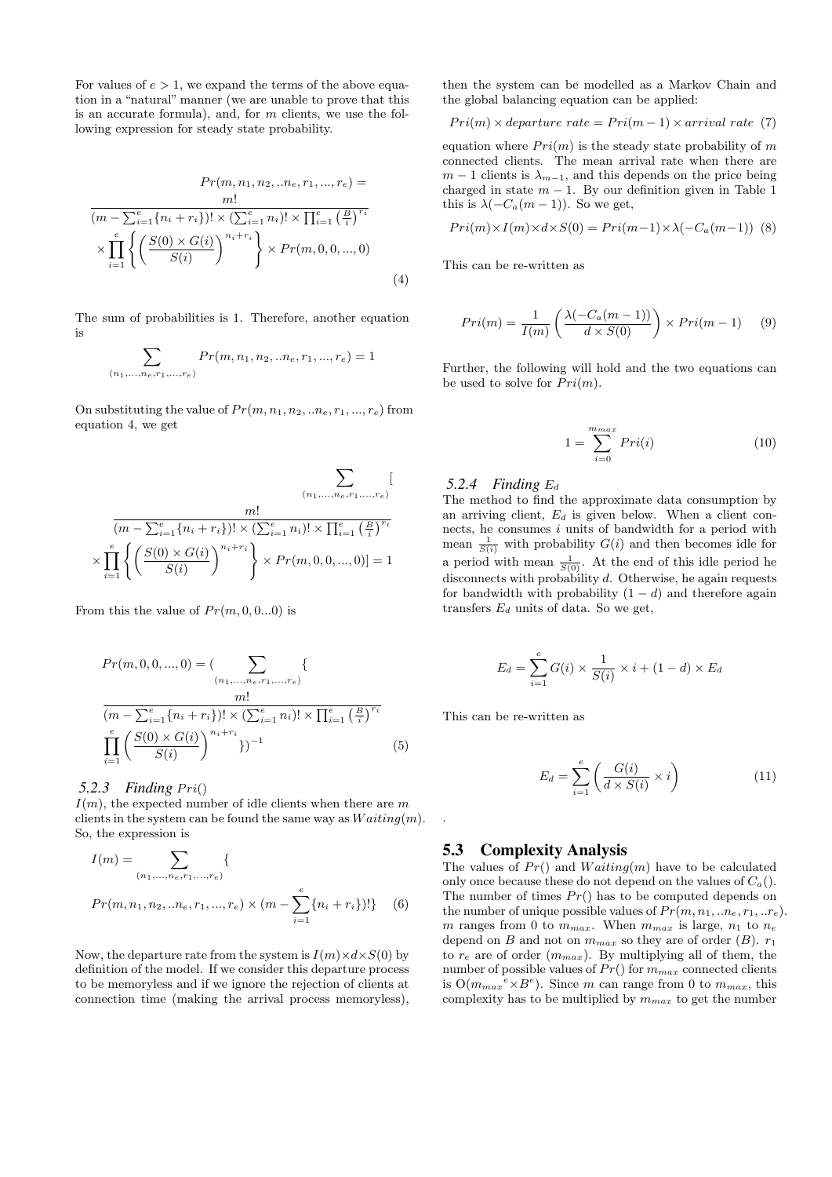For values of  $e > 1$ , we expand the terms of the above equation in a "natural" manner (we are unable to prove that this is an accurate formula), and, for  $m$  clients, we use the following expression for steady state probability.

$$
Pr(m, n_1, n_2, \ldots n_e, r_1, \ldots, r_e) =
$$
  
\n
$$
\frac{m!}{(m - \sum_{i=1}^e \{n_i + r_i\})! \times (\sum_{i=1}^e n_i)! \times \prod_{i=1}^e \left(\frac{B}{i}\right)^{r_i}}
$$
  
\n
$$
\times \prod_{i=1}^e \left\{ \left(\frac{S(0) \times G(i)}{S(i)}\right)^{n_i + r_i} \right\} \times Pr(m, 0, 0, \ldots, 0)
$$
  
\n(4)

The sum of probabilities is 1. Therefore, another equation is

$$
\sum_{(n_1,\ldots,n_e,r_1,\ldots,r_e)} Pr(m,n_1,n_2,\ldots,n_e,r_1,\ldots,r_e) = 1
$$

On substituting the value of  $Pr(m, n_1, n_2, ... n_e, r_1, ..., r_e)$  from equation 4, we get

$$
\sum_{(n_1,\ldots,n_e,r_1,\ldots,r_e)} \left[ \frac{m!}{(m-\sum_{i=1}^e \{n_i+r_i\})! \times (\sum_{i=1}^e n_i)! \times \prod_{i=1}^e \left(\frac{B}{i}\right)^{r_i}} \right]
$$

$$
\times \prod_{i=1}^e \left\{ \left(\frac{S(0) \times G(i)}{S(i)}\right)^{n_i+r_i} \right\} \times Pr(m,0,0,\ldots,0)] = 1
$$

From this the value of  $Pr(m, 0, 0...0)$  is

$$
Pr(m, 0, 0, ..., 0) = (\sum_{(n_1, ..., n_e, r_1, ..., r_e)} \{ m! \over (m - \sum_{i=1}^e \{n_i + r_i\})! \times (\sum_{i=1}^e n_i)! \times \prod_{i=1}^e (\frac{B}{i})^{r_i} \prod_{i=1}^e (\frac{S(0) \times G(i)}{S(i)})^{n_i + r_i})^{-1} \qquad (5)
$$

#### *5.2.3 Finding Pri()*

 $I(m)$ , the expected number of idle clients when there are m clients in the system can be found the same way as  $Waiting(m)$ . So, the expression is

$$
I(m) = \sum_{(n_1, \dots, n_e, r_1, \dots, r_e)} \{
$$
  

$$
Pr(m, n_1, n_2, \dots n_e, r_1, \dots, r_e) \times (m - \sum_{i=1}^e \{n_i + r_i\})! \} (6)
$$

Now, the departure rate from the system is  $I(m)\times d\times S(0)$  by definition of the model. If we consider this departure process to be memoryless and if we ignore the rejection of clients at connection time (making the arrival process memoryless),

then the system can be modelled as a Markov Chain and the global balancing equation can be applied:

$$
Pri(m) \times departure\ rate = Pri(m-1) \times arrival\ rate\ (7)
$$

equation where  $Pri(m)$  is the steady state probability of m connected clients. The mean arrival rate when there are  $m-1$  clients is  $\lambda_{m-1}$ , and this depends on the price being charged in state  $m - 1$ . By our definition given in Table 1 this is  $\lambda(-C_a(m-1))$ . So we get,

$$
Pri(m)\times I(m)\times d\times S(0)= Pri(m-1)\times \lambda(-C_a(m-1))\;\;(8)
$$

This can be re-written as

$$
Pri(m) = \frac{1}{I(m)} \left( \frac{\lambda(-C_a(m-1))}{d \times S(0)} \right) \times Pri(m-1) \tag{9}
$$

Further, the following will hold and the two equations can be used to solve for  $Pri(m)$ .

$$
1 = \sum_{i=0}^{m_{max}} Pri(i)
$$
 (10)

#### 5.2.4 Finding  $E_d$

The method to find the approximate data consumption by an arriving client,  $E_d$  is given below. When a client connects, he consumes  $i$  units of bandwidth for a period with mean  $\frac{1}{S(i)}$  with probability  $G(i)$  and then becomes idle for a period with mean  $\frac{1}{S(0)}$ . At the end of this idle period he disconnects with probability  $d$ . Otherwise, he again requests for bandwidth with probability  $(1 - d)$  and therefore again transfers  $E_d$  units of data. So we get,

$$
E_d = \sum_{i=1}^{e} G(i) \times \frac{1}{S(i)} \times i + (1 - d) \times E_d
$$

This can be re-written as

.

$$
E_d = \sum_{i=1}^{e} \left( \frac{G(i)}{d \times S(i)} \times i \right) \tag{11}
$$

## 5.3 Complexity Analysis

The values of  $Pr()$  and  $Waiting(m)$  have to be calculated only once because these do not depend on the values of  $C_a()$ . The number of times  $Pr()$  has to be computed depends on the number of unique possible values of  $Pr(m, n_1, ... n_e, r_1, ... r_e)$ . m ranges from 0 to  $m_{max}$ . When  $m_{max}$  is large,  $n_1$  to  $n_e$ depend on B and not on  $m_{max}$  so they are of order (B).  $r_1$ to  $r_e$  are of order  $(m_{max})$ . By multiplying all of them, the number of possible values of  $Pr()$  for  $m_{max}$  connected clients is  $O(m_{max}e^x \times B^e)$ . Since m can range from 0 to  $m_{max}$ , this complexity has to be multiplied by  $m_{max}$  to get the number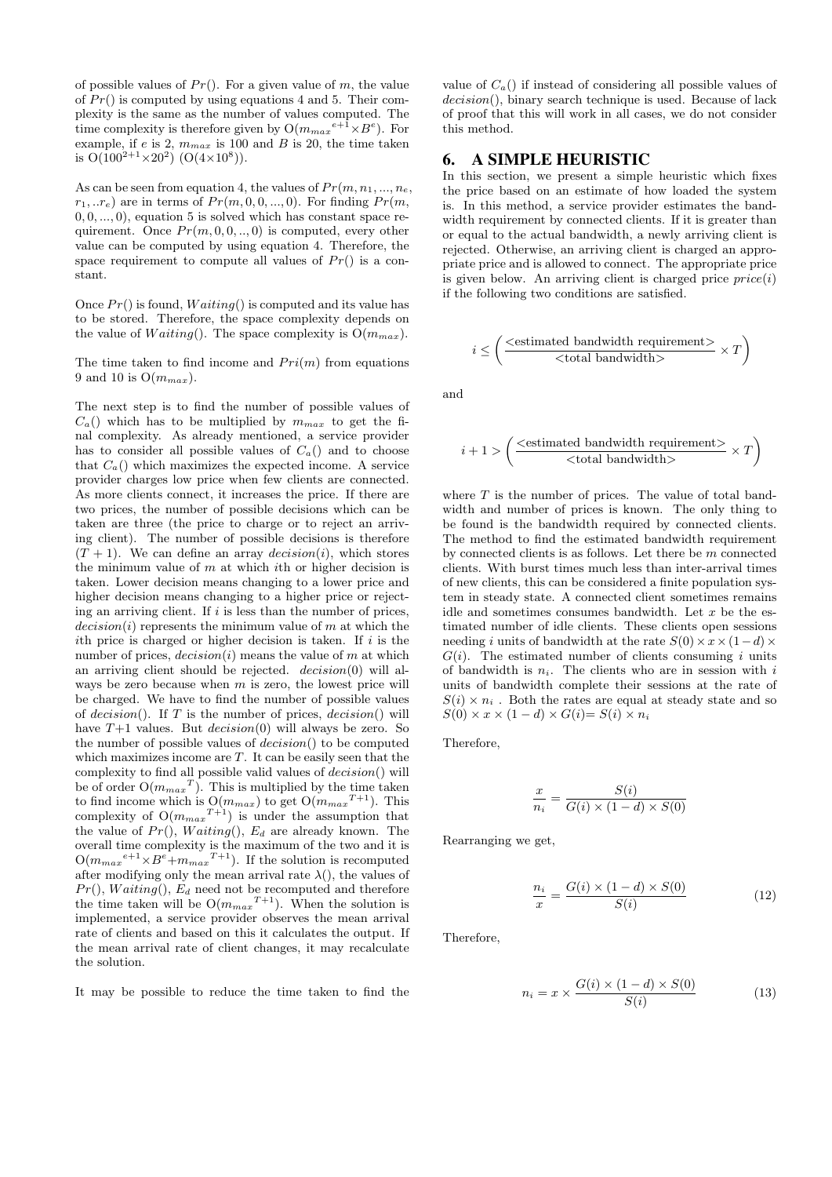of possible values of  $Pr()$ . For a given value of m, the value of  $Pr()$  is computed by using equations 4 and 5. Their complexity is the same as the number of values computed. The time complexity is therefore given by  $O(m_{max}e^{+1} \times B^e)$ . For example, if e is 2,  $m_{max}$  is 100 and B is 20, the time taken is  $O(100^{2+1} \times 20^2)$   $(O(4 \times 10^8))$ .

As can be seen from equation 4, the values of  $Pr(m, n_1, ..., n_e)$  $r_1, \ldots r_e$ ) are in terms of  $Pr(m, 0, 0, \ldots, 0)$ . For finding  $Pr(m, 0, 0, \ldots, 0)$  $(0, 0, \ldots, 0)$ , equation 5 is solved which has constant space requirement. Once  $Pr(m, 0, 0, \ldots, 0)$  is computed, every other value can be computed by using equation 4. Therefore, the space requirement to compute all values of  $Pr()$  is a constant.

Once  $Pr()$  is found,  $Waiting()$  is computed and its value has to be stored. Therefore, the space complexity depends on the value of  $Waiting()$ . The space complexity is  $O(m_{max})$ .

The time taken to find income and  $Pri(m)$  from equations 9 and 10 is  $O(m_{max})$ .

The next step is to find the number of possible values of  $C_a()$  which has to be multiplied by  $m_{max}$  to get the final complexity. As already mentioned, a service provider has to consider all possible values of  $C_a()$  and to choose that  $C_a()$  which maximizes the expected income. A service provider charges low price when few clients are connected. As more clients connect, it increases the price. If there are two prices, the number of possible decisions which can be taken are three (the price to charge or to reject an arriving client). The number of possible decisions is therefore  $(T + 1)$ . We can define an array *decision* $(i)$ , which stores the minimum value of  $m$  at which ith or higher decision is taken. Lower decision means changing to a lower price and higher decision means changing to a higher price or rejecting an arriving client. If  $i$  is less than the number of prices,  $decision(i)$  represents the minimum value of m at which the ith price is charged or higher decision is taken. If  $i$  is the number of prices,  $decision(i)$  means the value of m at which an arriving client should be rejected.  $decision(0)$  will always be zero because when  $m$  is zero, the lowest price will be charged. We have to find the number of possible values of decision(). If T is the number of prices,  $decision()$  will have  $T+1$  values. But  $decision(0)$  will always be zero. So the number of possible values of decision() to be computed which maximizes income are  $T$ . It can be easily seen that the complexity to find all possible valid values of decision() will be of order  $O(m_{max}^T)$ . This is multiplied by the time taken to find income which is  $O(m_{max})$  to get  $O(m_{max}^{T+1})$ . This complexity of  $O(m_{max}^{T+1})$  is under the assumption that the value of  $Pr()$ ,  $Waiting()$ ,  $E_d$  are already known. The overall time complexity is the maximum of the two and it is  $O(m_{max}^{e+1} \times B^e + m_{max}^{T+1})$ . If the solution is recomputed after modifying only the mean arrival rate  $\lambda$ (), the values of  $Pr(), Waiting(), E_d$  need not be recomputed and therefore the time taken will be  $O(m_{max}^{T+1})$ . When the solution is implemented, a service provider observes the mean arrival rate of clients and based on this it calculates the output. If the mean arrival rate of client changes, it may recalculate the solution.

It may be possible to reduce the time taken to find the

value of  $C_a()$  if instead of considering all possible values of decision(), binary search technique is used. Because of lack of proof that this will work in all cases, we do not consider this method.

## 6. A SIMPLE HEURISTIC

In this section, we present a simple heuristic which fixes the price based on an estimate of how loaded the system is. In this method, a service provider estimates the bandwidth requirement by connected clients. If it is greater than or equal to the actual bandwidth, a newly arriving client is rejected. Otherwise, an arriving client is charged an appropriate price and is allowed to connect. The appropriate price is given below. An arriving client is charged price  $price(i)$ if the following two conditions are satisfied.

$$
i \leq \left( \frac{\leq \text{estimated bandwidth requirement>}}{\leq \text{total bandwidth>}} \times T \right)
$$

and

$$
i+1 > \left(\frac{\text{~estimated bandwidth requirement>}}{\text{~total bandwidth>}} \times T\right)
$$

where  $T$  is the number of prices. The value of total bandwidth and number of prices is known. The only thing to be found is the bandwidth required by connected clients. The method to find the estimated bandwidth requirement by connected clients is as follows. Let there be  $m$  connected clients. With burst times much less than inter-arrival times of new clients, this can be considered a finite population system in steady state. A connected client sometimes remains idle and sometimes consumes bandwidth. Let  $x$  be the estimated number of idle clients. These clients open sessions needing i units of bandwidth at the rate  $S(0) \times x \times (1-d) \times$  $G(i)$ . The estimated number of clients consuming i units of bandwidth is  $n_i$ . The clients who are in session with i units of bandwidth complete their sessions at the rate of  $S(i) \times n_i$ . Both the rates are equal at steady state and so  $S(0) \times x \times (1-d) \times G(i) = S(i) \times n_i$ 

Therefore,

$$
\frac{x}{n_i} = \frac{S(i)}{G(i) \times (1 - d) \times S(0)}
$$

Rearranging we get,

$$
\frac{n_i}{x} = \frac{G(i) \times (1 - d) \times S(0)}{S(i)}\tag{12}
$$

Therefore,

$$
n_i = x \times \frac{G(i) \times (1 - d) \times S(0)}{S(i)} \tag{13}
$$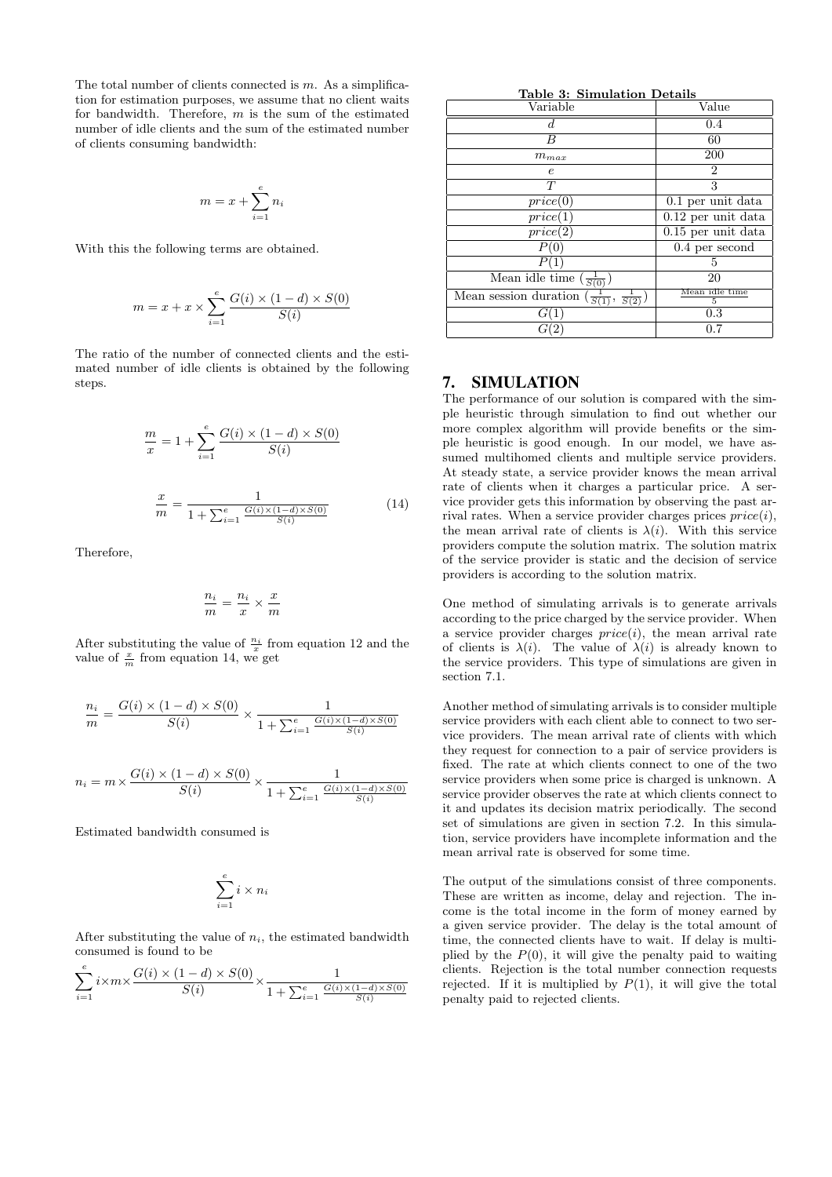The total number of clients connected is  $m$ . As a simplification for estimation purposes, we assume that no client waits for bandwidth. Therefore,  $m$  is the sum of the estimated number of idle clients and the sum of the estimated number of clients consuming bandwidth:

$$
m = x + \sum_{i=1}^{e} n_i
$$

With this the following terms are obtained.

$$
m = x + x \times \sum_{i=1}^{e} \frac{G(i) \times (1 - d) \times S(0)}{S(i)}
$$

The ratio of the number of connected clients and the estimated number of idle clients is obtained by the following steps.

$$
\frac{m}{x} = 1 + \sum_{i=1}^{e} \frac{G(i) \times (1 - d) \times S(0)}{S(i)}
$$

$$
\frac{x}{m} = \frac{1}{1 + \sum_{i=1}^{e} \frac{G(i) \times (1 - d) \times S(0)}{S(i)}}\tag{14}
$$

Therefore,

$$
\frac{n_i}{m} = \frac{n_i}{x} \times \frac{x}{m}
$$

After substituting the value of  $\frac{n_i}{x}$  from equation 12 and the value of  $\frac{x}{m}$  from equation 14, we get

$$
\frac{n_i}{m} = \frac{G(i)\times (1-d)\times S(0)}{S(i)}\times \frac{1}{1+\sum_{i=1}^e \frac{G(i)\times (1-d)\times S(0)}{S(i)}}
$$

$$
n_i = m \times \frac{G(i) \times (1 - d) \times S(0)}{S(i)} \times \frac{1}{1 + \sum_{i=1}^{e} \frac{G(i) \times (1 - d) \times S(0)}{S(i)}}
$$

Estimated bandwidth consumed is

$$
\sum_{i=1}^e i \times n_i
$$

After substituting the value of  $n_i$ , the estimated bandwidth consumed is found to be

$$
\sum_{i=1}^e i\times m\times \frac{G(i)\times (1-d)\times S(0)}{S(i)}\times \frac{1}{1+\sum_{i=1}^e \frac{G(i)\times (1-d)\times S(0)}{S(i)}}
$$

Table 3: Simulation Details

| Variable                                                            | Value                |
|---------------------------------------------------------------------|----------------------|
| d                                                                   | 0.4                  |
| B                                                                   | 60                   |
| $m_{max}$                                                           | 200                  |
| $\epsilon$                                                          | $\overline{2}$       |
| T                                                                   | 3                    |
| price(0)                                                            | 0.1 per unit data    |
| price(1)                                                            | $0.12$ per unit data |
| price(2)                                                            | $0.15$ per unit data |
| P(0)                                                                | $0.4$ per second     |
| P <sub>1</sub>                                                      | 5                    |
| Mean idle time $\left(\frac{1}{S(0)}\right)$                        | 20                   |
| Mean session duration $\left(\frac{1}{S(1)}, \frac{1}{S(2)}\right)$ | Mean idle time<br>5  |
| G(1)                                                                | 0.3                  |
|                                                                     | 0.7                  |

## 7. SIMULATION

The performance of our solution is compared with the simple heuristic through simulation to find out whether our more complex algorithm will provide benefits or the simple heuristic is good enough. In our model, we have assumed multihomed clients and multiple service providers. At steady state, a service provider knows the mean arrival rate of clients when it charges a particular price. A service provider gets this information by observing the past arrival rates. When a service provider charges prices  $price(i)$ , the mean arrival rate of clients is  $\lambda(i)$ . With this service providers compute the solution matrix. The solution matrix of the service provider is static and the decision of service providers is according to the solution matrix.

One method of simulating arrivals is to generate arrivals according to the price charged by the service provider. When a service provider charges  $price(i)$ , the mean arrival rate of clients is  $\lambda(i)$ . The value of  $\lambda(i)$  is already known to the service providers. This type of simulations are given in section 7.1.

Another method of simulating arrivals is to consider multiple service providers with each client able to connect to two service providers. The mean arrival rate of clients with which they request for connection to a pair of service providers is fixed. The rate at which clients connect to one of the two service providers when some price is charged is unknown. A service provider observes the rate at which clients connect to it and updates its decision matrix periodically. The second set of simulations are given in section 7.2. In this simulation, service providers have incomplete information and the mean arrival rate is observed for some time.

The output of the simulations consist of three components. These are written as income, delay and rejection. The income is the total income in the form of money earned by a given service provider. The delay is the total amount of time, the connected clients have to wait. If delay is multiplied by the  $P(0)$ , it will give the penalty paid to waiting clients. Rejection is the total number connection requests rejected. If it is multiplied by  $P(1)$ , it will give the total penalty paid to rejected clients.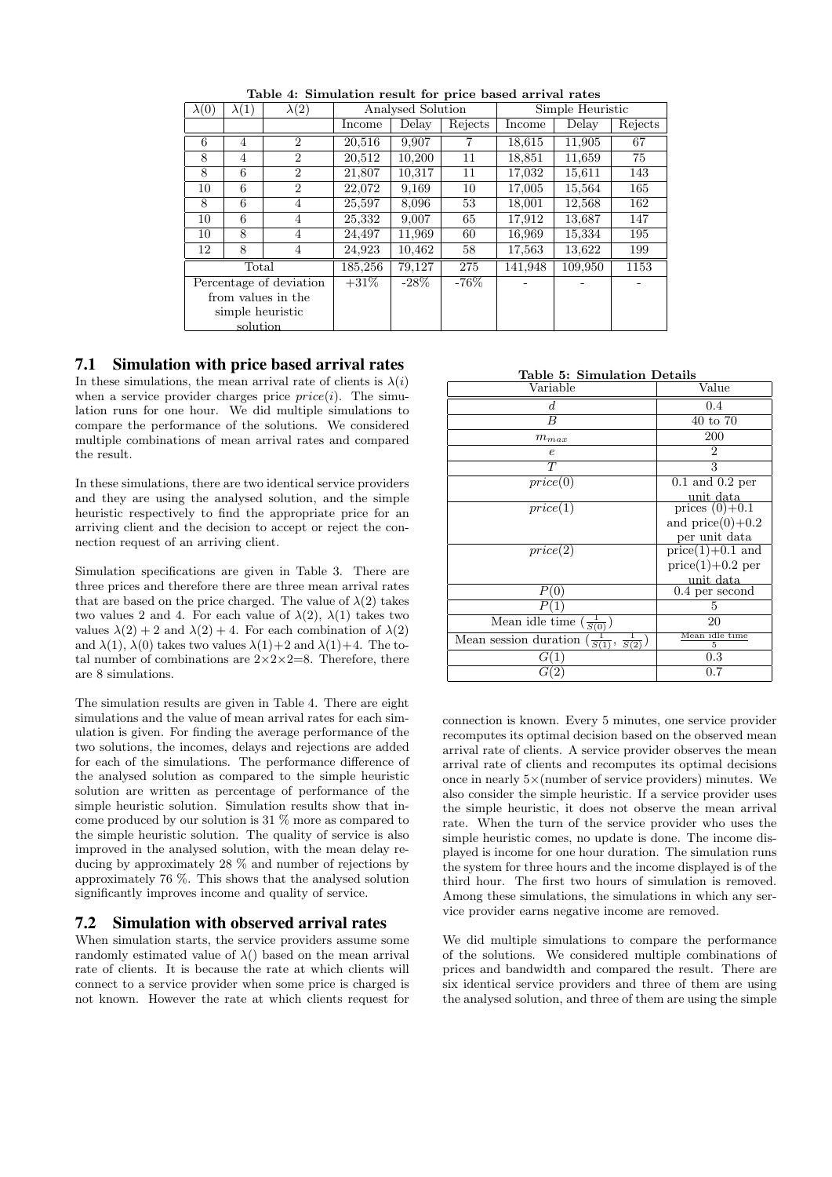| $\lambda(0)$            | $\lambda(1)$   | $\lambda(2)$   | Analysed Solution |         |         | Simple Heuristic |        |         |
|-------------------------|----------------|----------------|-------------------|---------|---------|------------------|--------|---------|
|                         |                |                | Income            | Delay   | Rejects | Income           | Delay  | Rejects |
| 6                       | $\overline{4}$ | $\mathfrak{D}$ | 20,516            | 9,907   |         | 18,615           | 11,905 | 67      |
| 8                       | 4              | $\overline{2}$ | 20,512            | 10,200  | 11      | 18,851           | 11,659 | 75      |
| 8                       | 6              | $\overline{2}$ | 21,807            | 10,317  | 11      | 17,032           | 15,611 | 143     |
| 10                      | 6              | $\overline{2}$ | 22,072            | 9,169   | 10      | 17,005           | 15,564 | 165     |
| 8                       | 6              | $\overline{4}$ | 25,597            | 8,096   | 53      | 18,001           | 12,568 | 162     |
| 10                      | 6              | 4              | 25,332            | 9,007   | 65      | 17,912           | 13,687 | 147     |
| 10                      | 8              | 4              | 24,497            | 11,969  | 60      | 16,969           | 15,334 | 195     |
| 12                      | 8              | 4              | 24,923            | 10,462  | 58      | 17,563           | 13,622 | 199     |
| Total                   |                | 185,256        | 79,127            | 275     | 141,948 | 109,950          | 1153   |         |
| Percentage of deviation |                | $+31\%$        | $-28\%$           | $-76\%$ |         |                  |        |         |
| from values in the      |                |                |                   |         |         |                  |        |         |
| simple heuristic        |                |                |                   |         |         |                  |        |         |
|                         | solution       |                |                   |         |         |                  |        |         |

Table 4: Simulation result for price based arrival rates

#### 7.1 Simulation with price based arrival rates

In these simulations, the mean arrival rate of clients is  $\lambda(i)$ when a service provider charges price  $price(i)$ . The simulation runs for one hour. We did multiple simulations to compare the performance of the solutions. We considered multiple combinations of mean arrival rates and compared the result.

In these simulations, there are two identical service providers and they are using the analysed solution, and the simple heuristic respectively to find the appropriate price for an arriving client and the decision to accept or reject the connection request of an arriving client.

Simulation specifications are given in Table 3. There are three prices and therefore there are three mean arrival rates that are based on the price charged. The value of  $\lambda(2)$  takes two values 2 and 4. For each value of  $\lambda(2)$ ,  $\lambda(1)$  takes two values  $\lambda(2) + 2$  and  $\lambda(2) + 4$ . For each combination of  $\lambda(2)$ and  $\lambda(1)$ ,  $\lambda(0)$  takes two values  $\lambda(1)+2$  and  $\lambda(1)+4$ . The total number of combinations are  $2 \times 2 \times 2 = 8$ . Therefore, there are 8 simulations.

The simulation results are given in Table 4. There are eight simulations and the value of mean arrival rates for each simulation is given. For finding the average performance of the two solutions, the incomes, delays and rejections are added for each of the simulations. The performance difference of the analysed solution as compared to the simple heuristic solution are written as percentage of performance of the simple heuristic solution. Simulation results show that income produced by our solution is 31 % more as compared to the simple heuristic solution. The quality of service is also improved in the analysed solution, with the mean delay reducing by approximately 28 % and number of rejections by approximately 76 %. This shows that the analysed solution significantly improves income and quality of service.

## 7.2 Simulation with observed arrival rates

When simulation starts, the service providers assume some randomly estimated value of  $\lambda$ () based on the mean arrival rate of clients. It is because the rate at which clients will connect to a service provider when some price is charged is not known. However the rate at which clients request for

Table 5: Simulation Details

| Variable                                                            | Value               |
|---------------------------------------------------------------------|---------------------|
| $\boldsymbol{d}$                                                    | 0.4                 |
| B                                                                   | 40 to 70            |
| $m_{max}$                                                           | 200                 |
| $\epsilon$                                                          | $\overline{2}$      |
| T                                                                   | 3                   |
| price(0)                                                            | $0.1$ and $0.2$ per |
|                                                                     | unit data           |
| $\overline{price(1)}$                                               | prices $(0)+0.1$    |
|                                                                     | and $price(0)+0.2$  |
|                                                                     | per unit data       |
| $\overline{price(2)}$                                               | $price(1)+0.1$ and  |
|                                                                     | $price(1)+0.2$ per  |
|                                                                     | unit data           |
|                                                                     | $0.4$ per second    |
|                                                                     | 5                   |
| Mean idle time $\left(\frac{1}{S(0)}\right)$                        | 20                  |
| Mean session duration $\left(\frac{1}{S(1)}, \frac{1}{S(2)}\right)$ | Mean idle time<br>5 |
|                                                                     | 0.3                 |
|                                                                     | 0.7                 |

connection is known. Every 5 minutes, one service provider recomputes its optimal decision based on the observed mean arrival rate of clients. A service provider observes the mean arrival rate of clients and recomputes its optimal decisions once in nearly  $5\times$  (number of service providers) minutes. We also consider the simple heuristic. If a service provider uses the simple heuristic, it does not observe the mean arrival rate. When the turn of the service provider who uses the simple heuristic comes, no update is done. The income displayed is income for one hour duration. The simulation runs the system for three hours and the income displayed is of the third hour. The first two hours of simulation is removed. Among these simulations, the simulations in which any service provider earns negative income are removed.

We did multiple simulations to compare the performance of the solutions. We considered multiple combinations of prices and bandwidth and compared the result. There are six identical service providers and three of them are using the analysed solution, and three of them are using the simple